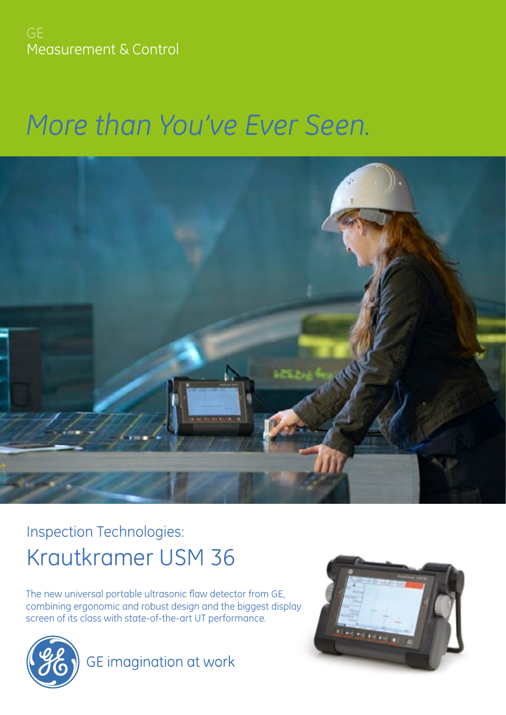Measurement & Control

# *More than You've Ever Seen.*



## Inspection Technologies: Krautkramer USM 36

asonic flaw detector from GE, The new universal portable ultrasonic flaw detector from GE, combining ergonomic and robust design and the biggest display screen of its class with state-of-the-art UT performance.



GE imagination at work

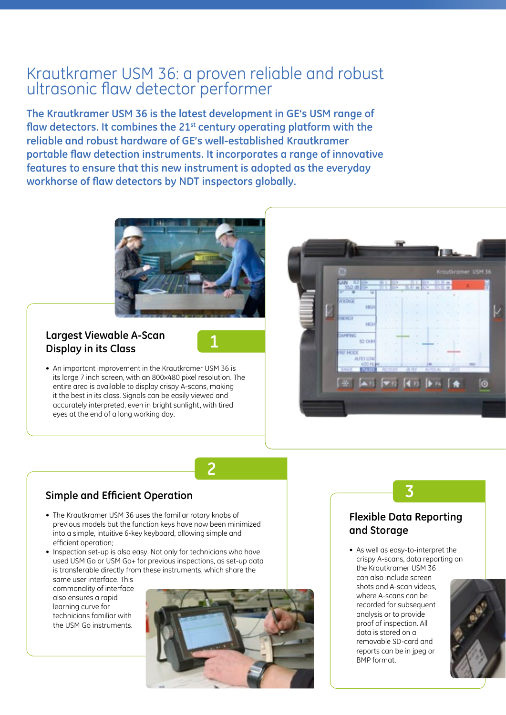## Krautkramer USM 36: a proven reliable and robust ultrasonic flaw detector performer

**The Krautkramer USM 36 is the latest development in GE's USM range of flaw detectors. It combines the 21st century operating platform with the reliable and robust hardware of GE's well-established Krautkramer portable flaw detection instruments. It incorporates a range of innovative features to ensure that this new instrument is adopted as the everyday workhorse of flaw detectors by NDT inspectors globally.** 



#### **Largest Viewable A-Scan Display in its Class**



• An important improvement in the Krautkramer USM 36 is its large 7 inch screen, with an 800x480 pixel resolution. The entire area is available to display crispy A-scans, making it the best in its class. Signals can be easily viewed and accurately interpreted, even in bright sunlight, with tired eyes at the end of a long working day.



## **2**

#### **Simple and Efficient Operation**

- The Krautkramer USM 36 uses the familiar rotary knobs of previous models but the function keys have now been minimized into a simple, intuitive 6-key keyboard, allowing simple and efficient operation;
- Inspection set-up is also easy. Not only for technicians who have used USM Go or USM Go+ for previous inspections, as set-up data is transferable directly from these instruments, which share the
	- same user interface. This commonality of interface also ensures a rapid learning curve for technicians familiar with the USM Go instruments.



#### **Flexible Data Reporting and Storage**

**3**

• As well as easy-to-interpret the crispy A-scans, data reporting on the Krautkramer USM 36 can also include screen shots and A-scan videos, where A-scans can be recorded for subsequent analysis or to provide proof of inspection. All data is stored on a removable SD-card and reports can be in jpeg or BMP format.

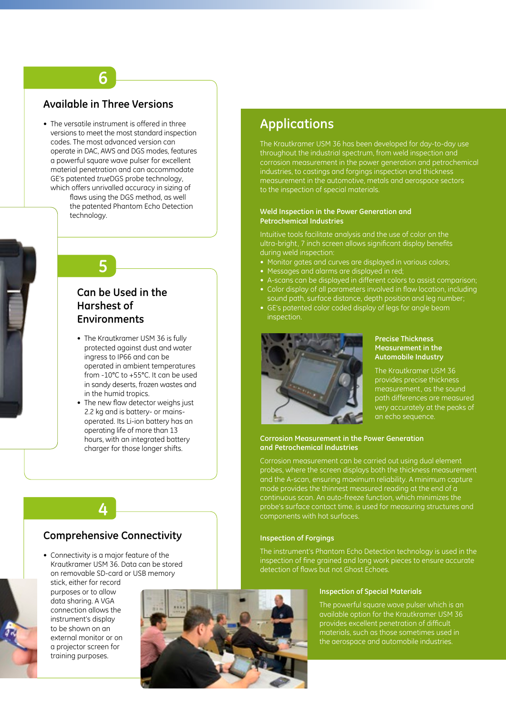#### **Available in Three Versions**

**6**

• The versatile instrument is offered in three versions to meet the most standard inspection codes. The most advanced version can operate in DAC, AWS and DGS modes, features a powerful square wave pulser for excellent material penetration and can accommodate GE's patented *true*DGS probe technology, which offers unrivalled accuracy in sizing of

flaws using the DGS method, as well the patented Phantom Echo Detection technology.

## **5**

#### **Can be Used in the Harshest of Environments**

- The Krautkramer USM 36 is fully protected against dust and water ingress to IP66 and can be operated in ambient temperatures from -10°C to +55°C. It can be used in sandy deserts, frozen wastes and in the humid tropics.
- The new flaw detector weighs just 2.2 kg and is battery- or mainsoperated. Its Li-ion battery has an operating life of more than 13 hours, with an integrated battery charger for those longer shifts.

#### **Comprehensive Connectivity**

**4**

• Connectivity is a major feature of the Krautkramer USM 36. Data can be stored on removable SD-card or USB memory stick, either for record

purposes or to allow data sharing. A VGA connection allows the instrument's display to be shown on an external monitor or on a projector screen for training purposes.



## **Applications**

The Krautkramer USM 36 has been developed for day-to-day use throughout the industrial spectrum, from weld inspection and corrosion measurement in the power generation and petrochemical industries, to castings and forgings inspection and thickness measurement in the automotive, metals and aerospace sectors to the inspection of special materials.

#### **Weld Inspection in the Power Generation and Petrochemical Industries**

Intuitive tools facilitate analysis and the use of color on the ultra-bright, 7 inch screen allows significant display benefits during weld inspection:

- Monitor gates and curves are displayed in various colors;
- Messages and alarms are displayed in red;
- A-scans can be displayed in different colors to assist comparison; • Color display of all parameters involved in flaw location, including
- sound path, surface distance, depth position and leg number; • GE's patented color coded display of legs for angle beam inspection.



#### **Precise Thickness Measurement in the Automobile Industry**

The Krautkramer USM 36 provides precise thickness measurement, as the sound path differences are measured very accurately at the peaks of an echo sequence.

#### **Corrosion Measurement in the Power Generation and Petrochemical Industries**

Corrosion measurement can be carried out using dual element probes, where the screen displays both the thickness measurement and the A-scan, ensuring maximum reliability. A minimum capture mode provides the thinnest measured reading at the end of a continuous scan. An auto-freeze function, which minimizes the probe's surface contact time, is used for measuring structures and components with hot surfaces.

#### **Inspection of Forgings**

The instrument's Phantom Echo Detection technology is used in the inspection of fine grained and long work pieces to ensure accurate detection of flaws but not Ghost Echoes.

#### **Inspection of Special Materials**

The powerful square wave pulser which is an available option for the Krautkramer USM 36 provides excellent penetration of difficult materials, such as those sometimes used in the aerospace and automobile industries.